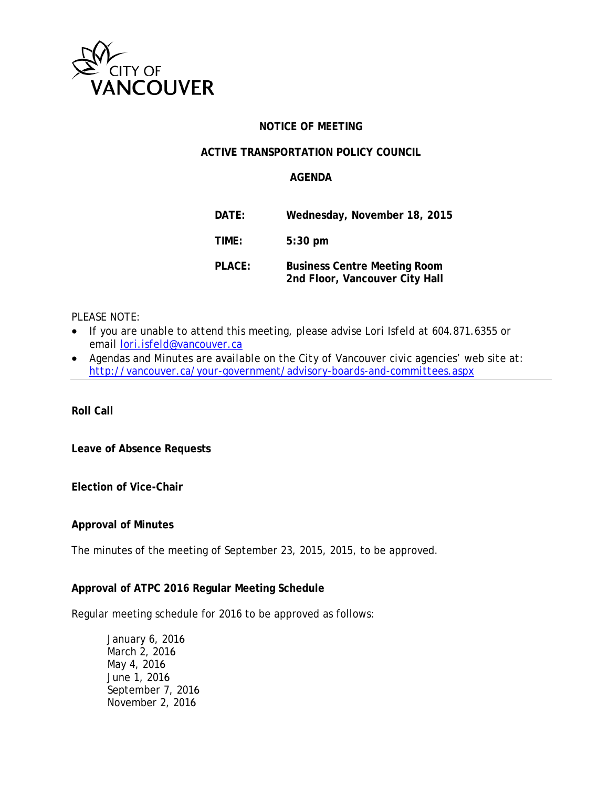

### **NOTICE OF MEETING**

### **ACTIVE TRANSPORTATION POLICY COUNCIL**

### **AGENDA**

| DATE:         | Wednesday, November 18, 2015                                          |
|---------------|-----------------------------------------------------------------------|
| TIME:         | $5:30$ pm                                                             |
| <b>PLACE:</b> | <b>Business Centre Meeting Room</b><br>2nd Floor, Vancouver City Hall |

*PLEASE NOTE:*

- *If you are unable to attend this meeting, please advise Lori Isfeld at 604.871.6355 or email [lori.isfeld@vancouver.ca](mailto:lori.isfeld@vancouver.ca)*
- *Agendas and Minutes are available on the City of Vancouver civic agencies' web site at: <http://vancouver.ca/your-government/advisory-boards-and-committees.aspx>*

**Roll Call** 

**Leave of Absence Requests**

**Election of Vice-Chair**

#### **Approval of Minutes**

The minutes of the meeting of September 23, 2015, 2015, to be approved.

#### **Approval of ATPC 2016 Regular Meeting Schedule**

Regular meeting schedule for 2016 to be approved as follows:

January 6, 2016 March 2, 2016 May 4, 2016 June 1, 2016 September 7, 2016 November 2, 2016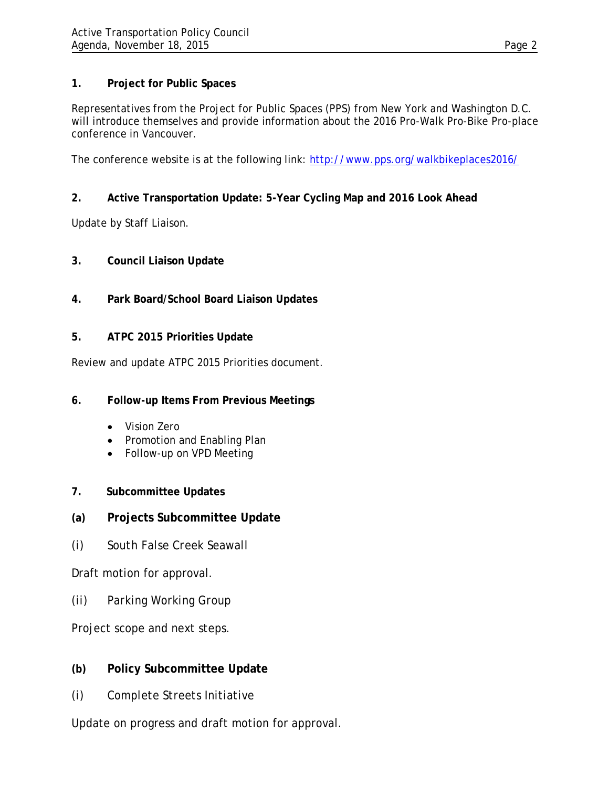## **1. Project for Public Spaces**

Representatives from the Project for Public Spaces (PPS) from New York and Washington D.C. will introduce themselves and provide information about the 2016 Pro-Walk Pro-Bike Pro-place conference in Vancouver.

The conference website is at the following link:<http://www.pps.org/walkbikeplaces2016/>

# **2. Active Transportation Update: 5-Year Cycling Map and 2016 Look Ahead**

Update by Staff Liaison.

- **3. Council Liaison Update**
- **4. Park Board/School Board Liaison Updates**
- **5. ATPC 2015 Priorities Update**

Review and update ATPC 2015 Priorities document.

- **6. Follow-up Items From Previous Meetings**
	- Vision Zero
	- Promotion and Enabling Plan
	- Follow-up on VPD Meeting
- **7. Subcommittee Updates**
- **(a) Projects Subcommittee Update**
- *(i) South False Creek Seawall*

Draft motion for approval.

*(ii) Parking Working Group*

Project scope and next steps.

- **(b) Policy Subcommittee Update**
- *(i) Complete Streets Initiative*

Update on progress and draft motion for approval.